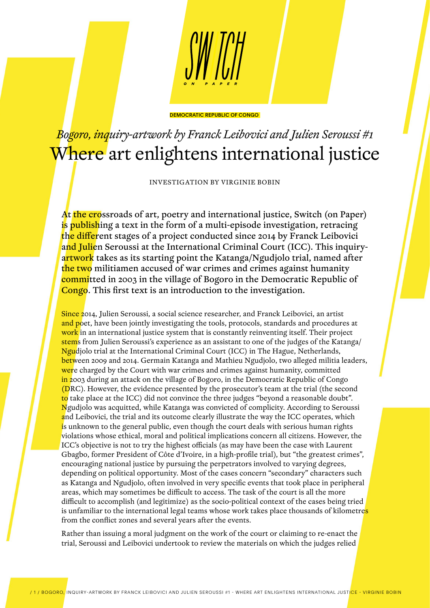

## DEMOCRATIC REPUBLIC OF CONGO

## *Bogoro, inquiry-artwork by Franck Leibovici and Julien Seroussi #1* Where art enlightens international justice

INVESTIGATION BY VIRGINIE BOBIN

At the crossroads of art, poetry and international justice, Switch (on Paper) is publishing a text in the form of a multi-episode investigation, retracing the different stages of a project conducted since 2014 by Franck Leibovici and Julien Seroussi at the International Criminal Court (ICC). This inquiryartwork takes as its starting point the Katanga/Ngudjolo trial, named after the two militiamen accused of war crimes and crimes against humanity committed in 2003 in the village of Bogoro in the Democratic Republic of Congo. This first text is an introduction to the investigation.

Since 2014, Julien Seroussi, a social science researcher, and Franck Leibovici, an artist and poet, have been jointly investigating the tools, protocols, standards and procedures at work in an international justice system that is constantly reinventing itself. Their project stems from Julien Seroussi's experience as an assistant to one of the judges of the Katanga/ Ngudjolo trial at the International Criminal Court (ICC) in The Hague, Netherlands, between 2009 and 2014. Germain Katanga and Mathieu Ngudjolo, two alleged militia leaders, were charged by the Court with war crimes and crimes against humanity, committed in 2003 during an attack on the village of Bogoro, in the Democratic Republic of Congo (DRC). However, the evidence presented by the prosecutor's team at the trial (the second to take place at the ICC) did not convince the three judges "beyond a reasonable doubt". Ngudjolo was acquitted, while Katanga was convicted of complicity. According to Seroussi and Leibovici, the trial and its outcome clearly illustrate the way the ICC operates, which is unknown to the general public, even though the court deals with serious human rights violations whose ethical, moral and political implications concern all citizens. However, the ICC's objective is not to try the highest officials (as may have been the case with Laurent Gbagbo, former President of Côte d'Ivoire, in a high-profile trial), but "the greatest crimes", encouraging national justice by pursuing the perpetrators involved to varying degrees, depending on political opportunity. Most of the cases concern "secondary" characters such as Katanga and Ngudjolo, often involved in very specific events that took place in peripheral areas, which may sometimes be difficult to access. The task of the court is all the more difficult to accomplish (and legitimize) as the socio-political context of the cases being tried is unfamiliar to the international legal teams whose work takes place thousands of kilometre<mark>s</mark> from the conflict zones and several years after the events.

Rather than issuing a moral judgment on the work of the court or claiming to re-enact the trial, Seroussi and Leibovici undertook to review the materials on which the judges relied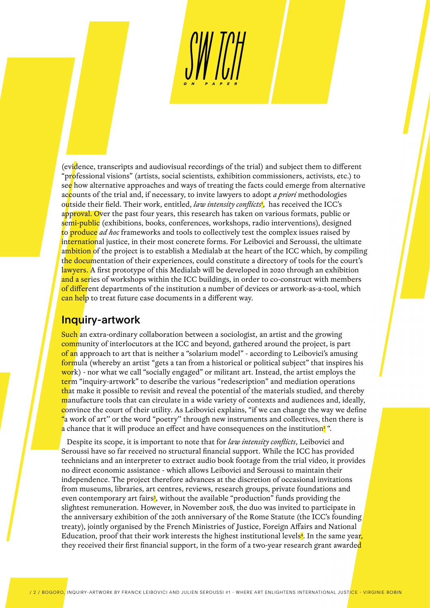(evidence, transcripts and audiovisual recordings of the trial) and subject them to different "professional visions" (artists, social scientists, exhibition commissioners, activists, etc.) to see how alternative approaches and ways of treating the facts could emerge from alternative accounts of the trial and, if necessary, to invite lawyers to adopt *a priori* methodologies o<mark>u</mark>tside their field. Their work, entitled, *law intensity conflicts*', has received the ICC's approval. Over the past four years, this research has taken on various formats, public or semi-public (exhibitions, books, conferences, workshops, radio interventions), designed to produce *ad hoc* frameworks and tools to collectively test the complex issues raised by international justice, in their most concrete forms. For Leibovici and Seroussi, the ultimate ambition of the project is to establish a Medialab at the heart of the ICC which, by compiling the documentation of their experiences, could constitute a directory of tools for the court's lawyers. A first prototype of this Medialab will be developed in 2020 through an exhibition and a series of workshops within the ICC buildings, in order to co-construct with members of different departments of the institution a number of devices or artwork-as-a-tool, which can help to treat future case documents in a different way.

## Inquiry-artwork

Such an extra-ordinary collaboration between a sociologist, an artist and the growing community of interlocutors at the ICC and beyond, gathered around the project, is part of an approach to art that is neither a "solarium model" - according to Leibovici's amusing formula (whereby an artist "gets a tan from a historical or political subject" that inspires his work) - nor what we call "socially engaged" or militant art. Instead, the artist employs the term "inquiry-artwork" to describe the various "redescription" and mediation operations that make it possible to revisit and reveal the potential of the materials studied, and thereby manufacture tools that can circulate in a wide variety of contexts and audiences and, ideally, convince the court of their utility. As Leibovici explains, "if we can change the way we define "a work of art'' or the word "poetry'' through new instruments and collectives, then there is a chance that it will produce an effect and have consequences on the institution<sup>2</sup>".

 Despite its scope, it is important to note that for *law intensity conflicts*, Leibovici and Seroussi have so far received no structural financial support. While the ICC has provided technicians and an interpreter to extract audio book footage from the trial video, it provides no direct economic assistance - which allows Leibovici and Seroussi to maintain their independence. The project therefore advances at the discretion of occasional invitations from museums, libraries, art centres, reviews, research groups, private foundations and even contemporary art fairs<sup>3</sup>, without the available "production" funds providing the slightest remuneration. However, in November 2018, the duo was invited to participate in the anniversary exhibition of the 20th anniversary of the Rome Statute (the ICC's founding treaty), jointly organised by the French Ministries of Justice, Foreign Affairs and National Education, proof that their work interests the highest institutional levels<mark>4</mark>. In the same year<mark>,</mark> they received their first financial support, in the form of a two-year research grant awarded